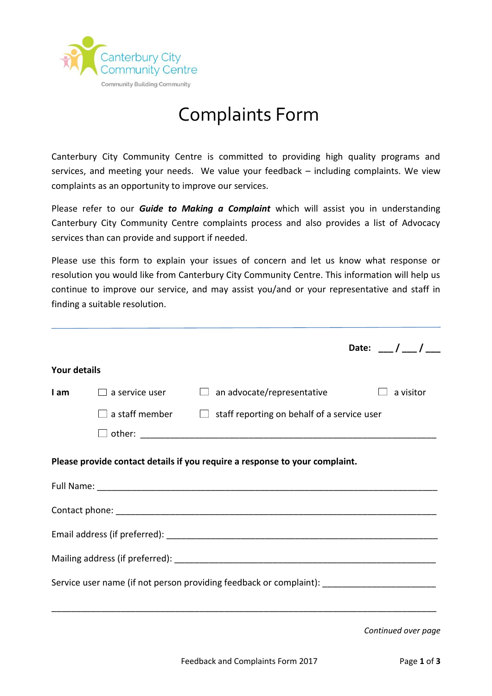

## Complaints Form

Canterbury City Community Centre is committed to providing high quality programs and services, and meeting your needs. We value your feedback – including complaints. We view complaints as an opportunity to improve our services.

Please refer to our *Guide to Making a Complaint* which will assist you in understanding Canterbury City Community Centre complaints process and also provides a list of Advocacy services than can provide and support if needed.

Please use this form to explain your issues of concern and let us know what response or resolution you would like from Canterbury City Community Centre. This information will help us continue to improve our service, and may assist you/and or your representative and staff in finding a suitable resolution.

|                     |                       |                                                                                          | Date: __/ __/ __ |
|---------------------|-----------------------|------------------------------------------------------------------------------------------|------------------|
| <b>Your details</b> |                       |                                                                                          |                  |
| l am                | $\Box$ a service user | $\Box$ an advocate/representative                                                        | a visitor        |
|                     |                       | $\Box$ a staff member $\hfill\Box$ staff reporting on behalf of a service user           |                  |
|                     |                       |                                                                                          |                  |
|                     |                       | Please provide contact details if you require a response to your complaint.              |                  |
|                     |                       |                                                                                          |                  |
|                     |                       |                                                                                          |                  |
|                     |                       |                                                                                          |                  |
|                     |                       | Service user name (if not person providing feedback or complaint): _____________________ |                  |
|                     |                       |                                                                                          |                  |

*Continued over page*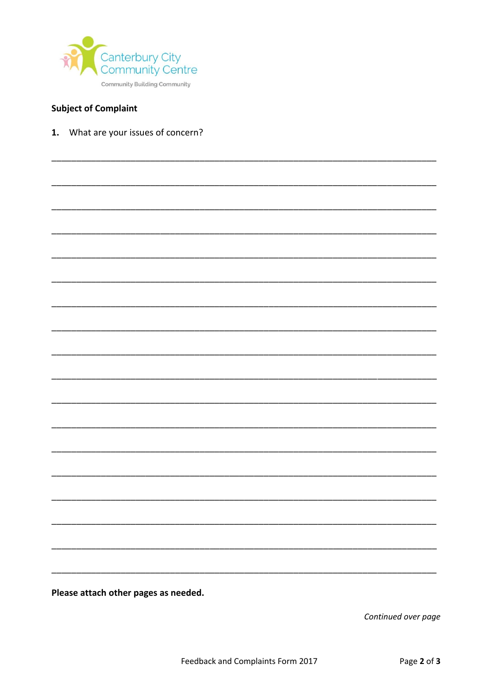

## **Subject of Complaint**

1. What are your issues of concern?

Please attach other pages as needed.

Continued over page